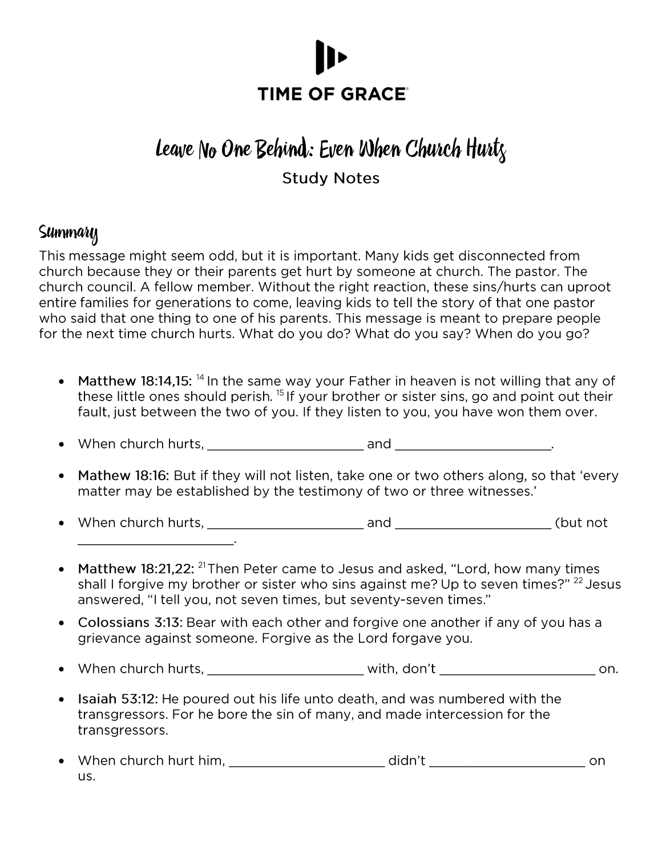

# Leave No One Behind: Even When Church Hurtz

### **Study Notes**

### Summary

This message might seem odd, but it is important. Many kids get disconnected from church because they or their parents get hurt by someone at church. The pastor. The church council. A fellow member. Without the right reaction, these sins/hurts can uproot entire families for generations to come, leaving kids to tell the story of that one pastor who said that one thing to one of his parents. This message is meant to prepare people for the next time church hurts. What do you do? What do you say? When do you go?

- Matthew 18:14.15: <sup>14</sup> In the same way your Father in heaven is not willing that any of these little ones should perish.<sup>15</sup> If your brother or sister sins, go and point out their fault, just between the two of you. If they listen to you, you have won them over.
- 
- Mathew 18:16: But if they will not listen, take one or two others along, so that 'every matter may be established by the testimony of two or three witnesses.'
- $\bullet$ <u> 1989 - Johann Barbara, martin eta politikar</u>
- Matthew 18:21,22: <sup>21</sup> Then Peter came to Jesus and asked, "Lord, how many times shall I forgive my brother or sister who sins against me? Up to seven times?" <sup>22</sup> Jesus answered, "I tell you, not seven times, but seventy-seven times."
- Colossians 3:13: Bear with each other and forgive one another if any of you has a grievance against someone. Forgive as the Lord forgave you.
- $\bullet$
- Isaiah 53:12: He poured out his life unto death, and was numbered with the transgressors. For he bore the sin of many, and made intercession for the transgressors.
- us.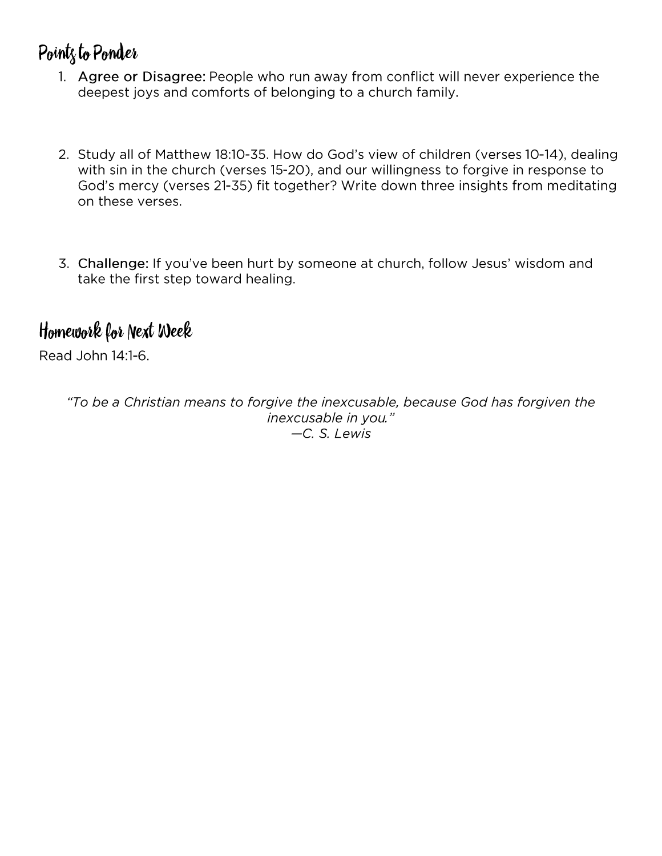# Point<sub>s</sub> to Ponder

- 1. Agree or Disagree: People who run away from conflict will never experience the deepest joys and comforts of belonging to a church family.
- 2. Study all of Matthew 18:10-35. How do God's view of children (verses 10-14), dealing with sin in the church (verses 15-20), and our willingness to forgive in response to God's mercy (verses 21-35) fit together? Write down three insights from meditating on these verses.
- 3. Challenge: If you've been hurt by someone at church, follow Jesus' wisdom and take the first step toward healing.

## Homework for Next Week

Read John 14:1-6.

"To be a Christian means to forgive the inexcusable, because God has forgiven the inexcusable in you." -C. S. Lewis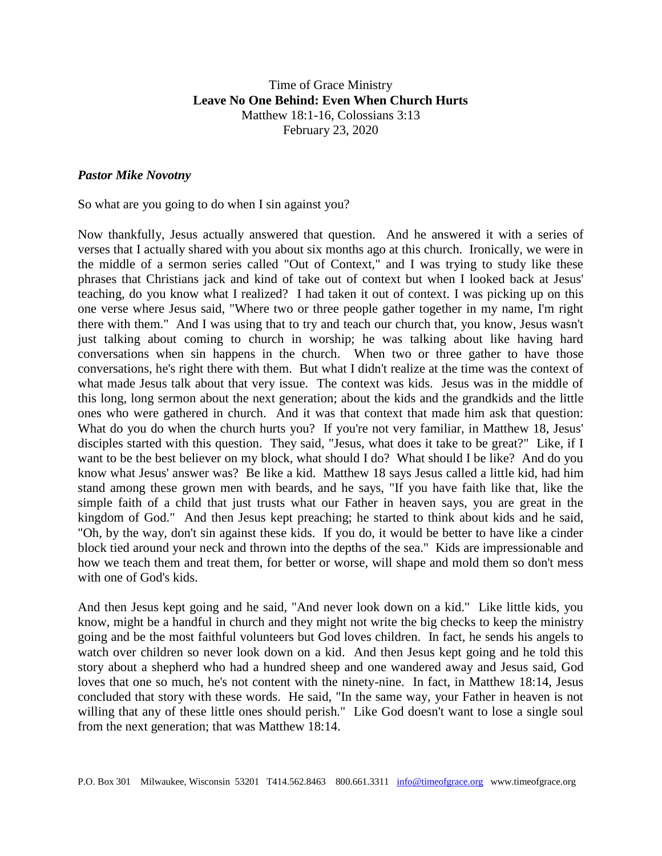#### Time of Grace Ministry **Leave No One Behind: Even When Church Hurts** Matthew 18:1-16, Colossians 3:13 February 23, 2020

#### *Pastor Mike Novotny*

So what are you going to do when I sin against you?

Now thankfully, Jesus actually answered that question. And he answered it with a series of verses that I actually shared with you about six months ago at this church. Ironically, we were in the middle of a sermon series called "Out of Context," and I was trying to study like these phrases that Christians jack and kind of take out of context but when I looked back at Jesus' teaching, do you know what I realized? I had taken it out of context. I was picking up on this one verse where Jesus said, "Where two or three people gather together in my name, I'm right there with them." And I was using that to try and teach our church that, you know, Jesus wasn't just talking about coming to church in worship; he was talking about like having hard conversations when sin happens in the church. When two or three gather to have those conversations, he's right there with them. But what I didn't realize at the time was the context of what made Jesus talk about that very issue. The context was kids. Jesus was in the middle of this long, long sermon about the next generation; about the kids and the grandkids and the little ones who were gathered in church. And it was that context that made him ask that question: What do you do when the church hurts you? If you're not very familiar, in Matthew 18, Jesus' disciples started with this question. They said, "Jesus, what does it take to be great?" Like, if I want to be the best believer on my block, what should I do? What should I be like? And do you know what Jesus' answer was? Be like a kid. Matthew 18 says Jesus called a little kid, had him stand among these grown men with beards, and he says, "If you have faith like that, like the simple faith of a child that just trusts what our Father in heaven says, you are great in the kingdom of God." And then Jesus kept preaching; he started to think about kids and he said, "Oh, by the way, don't sin against these kids. If you do, it would be better to have like a cinder block tied around your neck and thrown into the depths of the sea." Kids are impressionable and how we teach them and treat them, for better or worse, will shape and mold them so don't mess with one of God's kids.

And then Jesus kept going and he said, "And never look down on a kid." Like little kids, you know, might be a handful in church and they might not write the big checks to keep the ministry going and be the most faithful volunteers but God loves children. In fact, he sends his angels to watch over children so never look down on a kid. And then Jesus kept going and he told this story about a shepherd who had a hundred sheep and one wandered away and Jesus said, God loves that one so much, he's not content with the ninety-nine. In fact, in Matthew 18:14, Jesus concluded that story with these words. He said, "In the same way, your Father in heaven is not willing that any of these little ones should perish." Like God doesn't want to lose a single soul from the next generation; that was Matthew 18:14.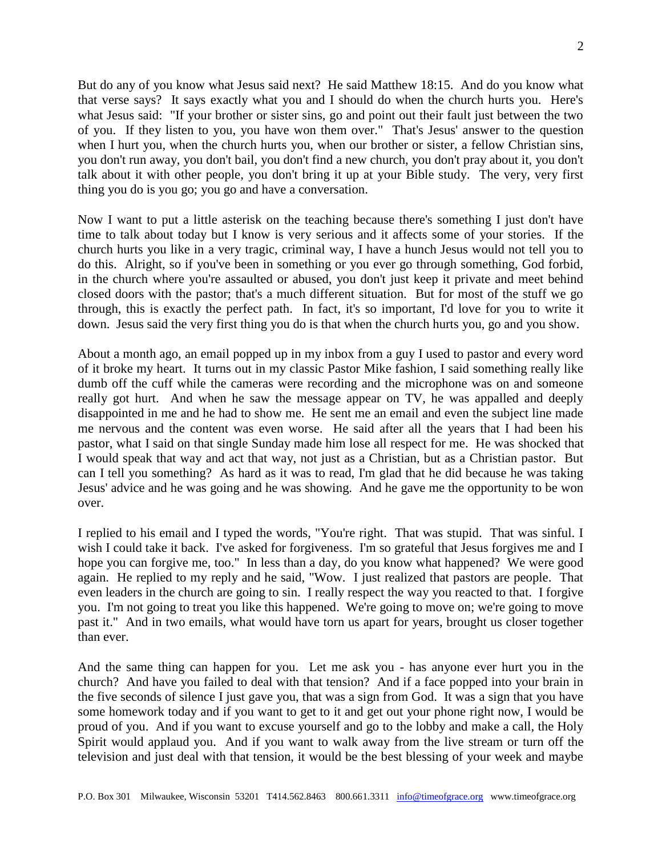But do any of you know what Jesus said next? He said Matthew 18:15. And do you know what that verse says? It says exactly what you and I should do when the church hurts you. Here's what Jesus said: "If your brother or sister sins, go and point out their fault just between the two of you. If they listen to you, you have won them over." That's Jesus' answer to the question when I hurt you, when the church hurts you, when our brother or sister, a fellow Christian sins, you don't run away, you don't bail, you don't find a new church, you don't pray about it, you don't talk about it with other people, you don't bring it up at your Bible study. The very, very first thing you do is you go; you go and have a conversation.

Now I want to put a little asterisk on the teaching because there's something I just don't have time to talk about today but I know is very serious and it affects some of your stories. If the church hurts you like in a very tragic, criminal way, I have a hunch Jesus would not tell you to do this. Alright, so if you've been in something or you ever go through something, God forbid, in the church where you're assaulted or abused, you don't just keep it private and meet behind closed doors with the pastor; that's a much different situation. But for most of the stuff we go through, this is exactly the perfect path. In fact, it's so important, I'd love for you to write it down. Jesus said the very first thing you do is that when the church hurts you, go and you show.

About a month ago, an email popped up in my inbox from a guy I used to pastor and every word of it broke my heart. It turns out in my classic Pastor Mike fashion, I said something really like dumb off the cuff while the cameras were recording and the microphone was on and someone really got hurt. And when he saw the message appear on TV, he was appalled and deeply disappointed in me and he had to show me. He sent me an email and even the subject line made me nervous and the content was even worse. He said after all the years that I had been his pastor, what I said on that single Sunday made him lose all respect for me. He was shocked that I would speak that way and act that way, not just as a Christian, but as a Christian pastor. But can I tell you something? As hard as it was to read, I'm glad that he did because he was taking Jesus' advice and he was going and he was showing. And he gave me the opportunity to be won over.

I replied to his email and I typed the words, "You're right. That was stupid. That was sinful. I wish I could take it back. I've asked for forgiveness. I'm so grateful that Jesus forgives me and I hope you can forgive me, too." In less than a day, do you know what happened? We were good again. He replied to my reply and he said, "Wow. I just realized that pastors are people. That even leaders in the church are going to sin. I really respect the way you reacted to that. I forgive you. I'm not going to treat you like this happened. We're going to move on; we're going to move past it." And in two emails, what would have torn us apart for years, brought us closer together than ever.

And the same thing can happen for you. Let me ask you - has anyone ever hurt you in the church? And have you failed to deal with that tension? And if a face popped into your brain in the five seconds of silence I just gave you, that was a sign from God. It was a sign that you have some homework today and if you want to get to it and get out your phone right now, I would be proud of you. And if you want to excuse yourself and go to the lobby and make a call, the Holy Spirit would applaud you. And if you want to walk away from the live stream or turn off the television and just deal with that tension, it would be the best blessing of your week and maybe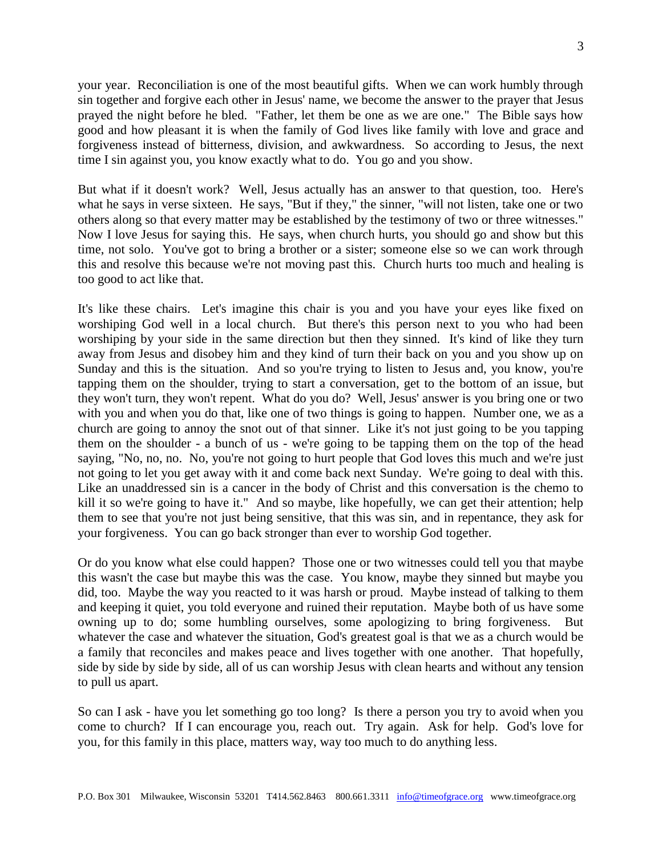your year. Reconciliation is one of the most beautiful gifts. When we can work humbly through sin together and forgive each other in Jesus' name, we become the answer to the prayer that Jesus prayed the night before he bled. "Father, let them be one as we are one." The Bible says how good and how pleasant it is when the family of God lives like family with love and grace and forgiveness instead of bitterness, division, and awkwardness. So according to Jesus, the next time I sin against you, you know exactly what to do. You go and you show.

But what if it doesn't work? Well, Jesus actually has an answer to that question, too. Here's what he says in verse sixteen. He says, "But if they," the sinner, "will not listen, take one or two others along so that every matter may be established by the testimony of two or three witnesses." Now I love Jesus for saying this. He says, when church hurts, you should go and show but this time, not solo. You've got to bring a brother or a sister; someone else so we can work through this and resolve this because we're not moving past this. Church hurts too much and healing is too good to act like that.

It's like these chairs. Let's imagine this chair is you and you have your eyes like fixed on worshiping God well in a local church. But there's this person next to you who had been worshiping by your side in the same direction but then they sinned. It's kind of like they turn away from Jesus and disobey him and they kind of turn their back on you and you show up on Sunday and this is the situation. And so you're trying to listen to Jesus and, you know, you're tapping them on the shoulder, trying to start a conversation, get to the bottom of an issue, but they won't turn, they won't repent. What do you do? Well, Jesus' answer is you bring one or two with you and when you do that, like one of two things is going to happen. Number one, we as a church are going to annoy the snot out of that sinner. Like it's not just going to be you tapping them on the shoulder - a bunch of us - we're going to be tapping them on the top of the head saying, "No, no, no. No, you're not going to hurt people that God loves this much and we're just not going to let you get away with it and come back next Sunday. We're going to deal with this. Like an unaddressed sin is a cancer in the body of Christ and this conversation is the chemo to kill it so we're going to have it." And so maybe, like hopefully, we can get their attention; help them to see that you're not just being sensitive, that this was sin, and in repentance, they ask for your forgiveness. You can go back stronger than ever to worship God together.

Or do you know what else could happen? Those one or two witnesses could tell you that maybe this wasn't the case but maybe this was the case. You know, maybe they sinned but maybe you did, too. Maybe the way you reacted to it was harsh or proud. Maybe instead of talking to them and keeping it quiet, you told everyone and ruined their reputation. Maybe both of us have some owning up to do; some humbling ourselves, some apologizing to bring forgiveness. But whatever the case and whatever the situation, God's greatest goal is that we as a church would be a family that reconciles and makes peace and lives together with one another. That hopefully, side by side by side by side, all of us can worship Jesus with clean hearts and without any tension to pull us apart.

So can I ask - have you let something go too long? Is there a person you try to avoid when you come to church? If I can encourage you, reach out. Try again. Ask for help. God's love for you, for this family in this place, matters way, way too much to do anything less.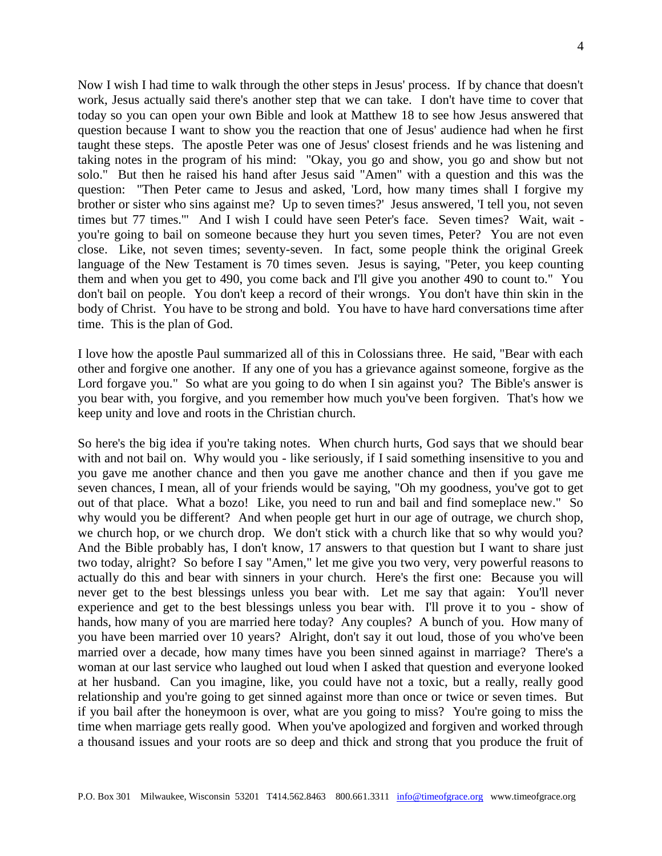Now I wish I had time to walk through the other steps in Jesus' process. If by chance that doesn't work, Jesus actually said there's another step that we can take. I don't have time to cover that today so you can open your own Bible and look at Matthew 18 to see how Jesus answered that question because I want to show you the reaction that one of Jesus' audience had when he first taught these steps. The apostle Peter was one of Jesus' closest friends and he was listening and taking notes in the program of his mind: "Okay, you go and show, you go and show but not solo." But then he raised his hand after Jesus said "Amen" with a question and this was the question: "Then Peter came to Jesus and asked, 'Lord, how many times shall I forgive my brother or sister who sins against me? Up to seven times?' Jesus answered, 'I tell you, not seven times but 77 times.'" And I wish I could have seen Peter's face. Seven times? Wait, wait you're going to bail on someone because they hurt you seven times, Peter? You are not even close. Like, not seven times; seventy-seven. In fact, some people think the original Greek language of the New Testament is 70 times seven. Jesus is saying, "Peter, you keep counting them and when you get to 490, you come back and I'll give you another 490 to count to." You don't bail on people. You don't keep a record of their wrongs. You don't have thin skin in the body of Christ. You have to be strong and bold. You have to have hard conversations time after time. This is the plan of God.

I love how the apostle Paul summarized all of this in Colossians three. He said, "Bear with each other and forgive one another. If any one of you has a grievance against someone, forgive as the Lord forgave you." So what are you going to do when I sin against you? The Bible's answer is you bear with, you forgive, and you remember how much you've been forgiven. That's how we keep unity and love and roots in the Christian church.

So here's the big idea if you're taking notes. When church hurts, God says that we should bear with and not bail on. Why would you - like seriously, if I said something insensitive to you and you gave me another chance and then you gave me another chance and then if you gave me seven chances, I mean, all of your friends would be saying, "Oh my goodness, you've got to get out of that place. What a bozo! Like, you need to run and bail and find someplace new." So why would you be different? And when people get hurt in our age of outrage, we church shop, we church hop, or we church drop. We don't stick with a church like that so why would you? And the Bible probably has, I don't know, 17 answers to that question but I want to share just two today, alright? So before I say "Amen," let me give you two very, very powerful reasons to actually do this and bear with sinners in your church. Here's the first one: Because you will never get to the best blessings unless you bear with. Let me say that again: You'll never experience and get to the best blessings unless you bear with. I'll prove it to you - show of hands, how many of you are married here today? Any couples? A bunch of you. How many of you have been married over 10 years? Alright, don't say it out loud, those of you who've been married over a decade, how many times have you been sinned against in marriage? There's a woman at our last service who laughed out loud when I asked that question and everyone looked at her husband. Can you imagine, like, you could have not a toxic, but a really, really good relationship and you're going to get sinned against more than once or twice or seven times. But if you bail after the honeymoon is over, what are you going to miss? You're going to miss the time when marriage gets really good. When you've apologized and forgiven and worked through a thousand issues and your roots are so deep and thick and strong that you produce the fruit of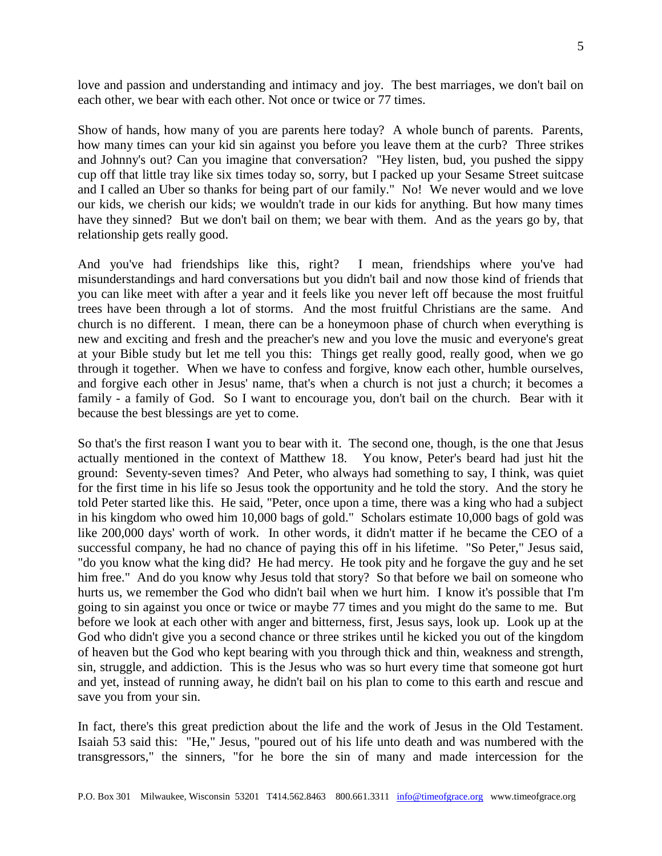love and passion and understanding and intimacy and joy. The best marriages, we don't bail on each other, we bear with each other. Not once or twice or 77 times.

Show of hands, how many of you are parents here today? A whole bunch of parents. Parents, how many times can your kid sin against you before you leave them at the curb? Three strikes and Johnny's out? Can you imagine that conversation? "Hey listen, bud, you pushed the sippy cup off that little tray like six times today so, sorry, but I packed up your Sesame Street suitcase and I called an Uber so thanks for being part of our family." No! We never would and we love our kids, we cherish our kids; we wouldn't trade in our kids for anything. But how many times have they sinned? But we don't bail on them; we bear with them. And as the years go by, that relationship gets really good.

And you've had friendships like this, right? I mean, friendships where you've had misunderstandings and hard conversations but you didn't bail and now those kind of friends that you can like meet with after a year and it feels like you never left off because the most fruitful trees have been through a lot of storms. And the most fruitful Christians are the same. And church is no different. I mean, there can be a honeymoon phase of church when everything is new and exciting and fresh and the preacher's new and you love the music and everyone's great at your Bible study but let me tell you this: Things get really good, really good, when we go through it together. When we have to confess and forgive, know each other, humble ourselves, and forgive each other in Jesus' name, that's when a church is not just a church; it becomes a family - a family of God. So I want to encourage you, don't bail on the church. Bear with it because the best blessings are yet to come.

So that's the first reason I want you to bear with it. The second one, though, is the one that Jesus actually mentioned in the context of Matthew 18. You know, Peter's beard had just hit the ground: Seventy-seven times? And Peter, who always had something to say, I think, was quiet for the first time in his life so Jesus took the opportunity and he told the story. And the story he told Peter started like this. He said, "Peter, once upon a time, there was a king who had a subject in his kingdom who owed him 10,000 bags of gold." Scholars estimate 10,000 bags of gold was like 200,000 days' worth of work. In other words, it didn't matter if he became the CEO of a successful company, he had no chance of paying this off in his lifetime. "So Peter," Jesus said, "do you know what the king did? He had mercy. He took pity and he forgave the guy and he set him free." And do you know why Jesus told that story? So that before we bail on someone who hurts us, we remember the God who didn't bail when we hurt him. I know it's possible that I'm going to sin against you once or twice or maybe 77 times and you might do the same to me. But before we look at each other with anger and bitterness, first, Jesus says, look up. Look up at the God who didn't give you a second chance or three strikes until he kicked you out of the kingdom of heaven but the God who kept bearing with you through thick and thin, weakness and strength, sin, struggle, and addiction. This is the Jesus who was so hurt every time that someone got hurt and yet, instead of running away, he didn't bail on his plan to come to this earth and rescue and save you from your sin.

In fact, there's this great prediction about the life and the work of Jesus in the Old Testament. Isaiah 53 said this: "He," Jesus, "poured out of his life unto death and was numbered with the transgressors," the sinners, "for he bore the sin of many and made intercession for the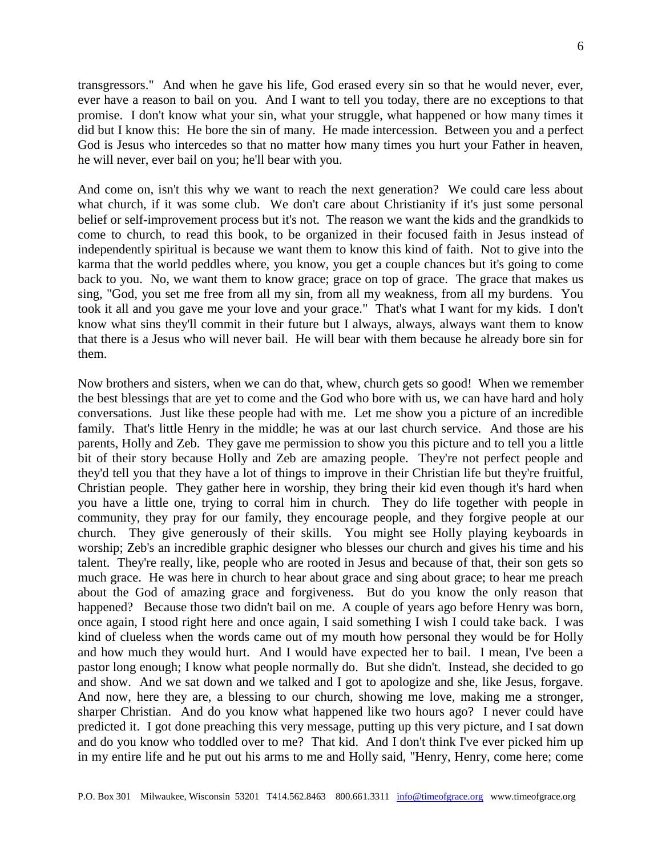transgressors." And when he gave his life, God erased every sin so that he would never, ever, ever have a reason to bail on you. And I want to tell you today, there are no exceptions to that promise. I don't know what your sin, what your struggle, what happened or how many times it did but I know this: He bore the sin of many. He made intercession. Between you and a perfect God is Jesus who intercedes so that no matter how many times you hurt your Father in heaven, he will never, ever bail on you; he'll bear with you.

And come on, isn't this why we want to reach the next generation? We could care less about what church, if it was some club. We don't care about Christianity if it's just some personal belief or self-improvement process but it's not. The reason we want the kids and the grandkids to come to church, to read this book, to be organized in their focused faith in Jesus instead of independently spiritual is because we want them to know this kind of faith. Not to give into the karma that the world peddles where, you know, you get a couple chances but it's going to come back to you. No, we want them to know grace; grace on top of grace. The grace that makes us sing, "God, you set me free from all my sin, from all my weakness, from all my burdens. You took it all and you gave me your love and your grace." That's what I want for my kids. I don't know what sins they'll commit in their future but I always, always, always want them to know that there is a Jesus who will never bail. He will bear with them because he already bore sin for them.

Now brothers and sisters, when we can do that, whew, church gets so good! When we remember the best blessings that are yet to come and the God who bore with us, we can have hard and holy conversations. Just like these people had with me. Let me show you a picture of an incredible family. That's little Henry in the middle; he was at our last church service. And those are his parents, Holly and Zeb. They gave me permission to show you this picture and to tell you a little bit of their story because Holly and Zeb are amazing people. They're not perfect people and they'd tell you that they have a lot of things to improve in their Christian life but they're fruitful, Christian people. They gather here in worship, they bring their kid even though it's hard when you have a little one, trying to corral him in church. They do life together with people in community, they pray for our family, they encourage people, and they forgive people at our church. They give generously of their skills. You might see Holly playing keyboards in worship; Zeb's an incredible graphic designer who blesses our church and gives his time and his talent. They're really, like, people who are rooted in Jesus and because of that, their son gets so much grace. He was here in church to hear about grace and sing about grace; to hear me preach about the God of amazing grace and forgiveness. But do you know the only reason that happened? Because those two didn't bail on me. A couple of years ago before Henry was born, once again, I stood right here and once again, I said something I wish I could take back. I was kind of clueless when the words came out of my mouth how personal they would be for Holly and how much they would hurt. And I would have expected her to bail. I mean, I've been a pastor long enough; I know what people normally do. But she didn't. Instead, she decided to go and show. And we sat down and we talked and I got to apologize and she, like Jesus, forgave. And now, here they are, a blessing to our church, showing me love, making me a stronger, sharper Christian. And do you know what happened like two hours ago? I never could have predicted it. I got done preaching this very message, putting up this very picture, and I sat down and do you know who toddled over to me? That kid. And I don't think I've ever picked him up in my entire life and he put out his arms to me and Holly said, "Henry, Henry, come here; come